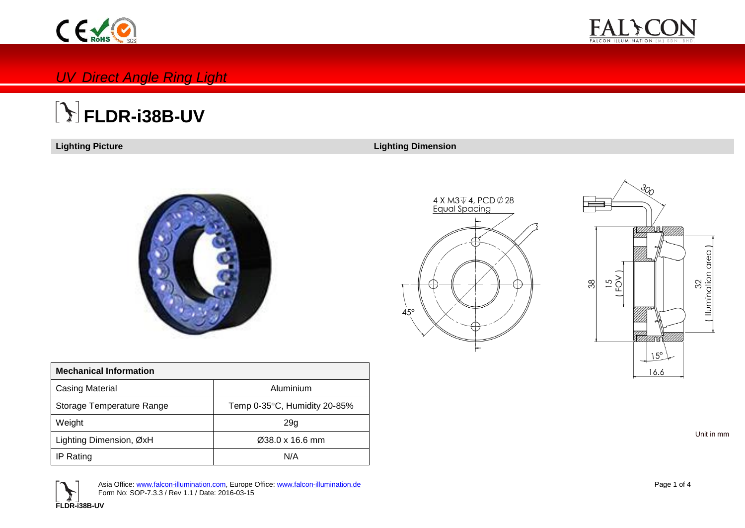



### *UV Direct Angle Ring Light*

# **FLDR-i38B-UV**

**Lighting Picture Lighting Dimension**



| <b>Mechanical Information</b> |                              |
|-------------------------------|------------------------------|
| <b>Casing Material</b>        | Aluminium                    |
| Storage Temperature Range     | Temp 0-35°C, Humidity 20-85% |
| Weight                        | 29g                          |
| Lighting Dimension, ØxH       | $\varnothing$ 38.0 x 16.6 mm |
| IP Rating                     | N/A                          |





Unit in mm



Asia Office: [www.falcon-illumination.com,](http://www.falcon-illumination.com/) Europe Office: [www.falcon-illumination.de](http://www.falcon-illumination.de/) Form No: SOP-7.3.3 / Rev 1.1 / Date: 2016-03-15

Page 1 of 4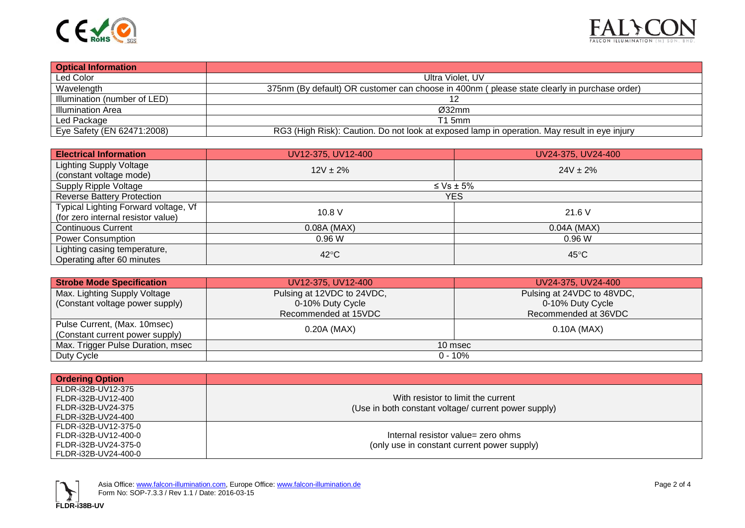



| <b>Optical Information</b>   |                                                                                              |
|------------------------------|----------------------------------------------------------------------------------------------|
| Led Color                    | Ultra Violet, UV                                                                             |
| Wavelength                   | 375nm (By default) OR customer can choose in 400nm (please state clearly in purchase order)  |
| Illumination (number of LED) |                                                                                              |
| <b>Illumination Area</b>     | Ø32mm                                                                                        |
| Led Package                  | T1 5mm                                                                                       |
| Eye Safety (EN 62471:2008)   | RG3 (High Risk): Caution. Do not look at exposed lamp in operation. May result in eye injury |

| <b>Electrical Information</b>        | UV12-375, UV12-400 | UV24-375, UV24-400 |  |  |  |  |  |
|--------------------------------------|--------------------|--------------------|--|--|--|--|--|
| <b>Lighting Supply Voltage</b>       | $12V \pm 2\%$      | $24V \pm 2\%$      |  |  |  |  |  |
| (constant voltage mode)              |                    |                    |  |  |  |  |  |
| Supply Ripple Voltage                | $\leq$ Vs $\pm$ 5% |                    |  |  |  |  |  |
| <b>Reverse Battery Protection</b>    |                    | YES                |  |  |  |  |  |
| Typical Lighting Forward voltage, Vf | 10.8V              | 21.6V              |  |  |  |  |  |
| (for zero internal resistor value)   |                    |                    |  |  |  |  |  |
| <b>Continuous Current</b>            | $0.08A$ (MAX)      | $0.04A$ (MAX)      |  |  |  |  |  |
| <b>Power Consumption</b>             | 0.96W              | 0.96W              |  |  |  |  |  |
| Lighting casing temperature,         |                    |                    |  |  |  |  |  |
| Operating after 60 minutes           | $42^{\circ}$ C     | $45^{\circ}$ C     |  |  |  |  |  |

| <b>Strobe Mode Specification</b>  | UV12-375, UV12-400         | UV24-375, UV24-400         |  |  |  |
|-----------------------------------|----------------------------|----------------------------|--|--|--|
| Max. Lighting Supply Voltage      | Pulsing at 12VDC to 24VDC, | Pulsing at 24VDC to 48VDC, |  |  |  |
| (Constant voltage power supply)   | 0-10% Duty Cycle           | 0-10% Duty Cycle           |  |  |  |
|                                   | Recommended at 15VDC       | Recommended at 36VDC       |  |  |  |
| Pulse Current, (Max. 10msec)      | 0.20A (MAX)                | 0.10A (MAX)                |  |  |  |
| (Constant current power supply)   |                            |                            |  |  |  |
| Max. Trigger Pulse Duration, msec | 10 msec                    |                            |  |  |  |
| Duty Cycle                        | $0 - 10\%$                 |                            |  |  |  |

| <b>Ordering Option</b> |                                                      |
|------------------------|------------------------------------------------------|
| FLDR-i32B-UV12-375     |                                                      |
| FLDR-i32B-UV12-400     | With resistor to limit the current                   |
| FLDR-i32B-UV24-375     | (Use in both constant voltage/ current power supply) |
| l FLDR-i32B-UV24-400   |                                                      |
| l FLDR-i32B-UV12-375-0 |                                                      |
| l FLDR-i32B-UV12-400-0 | Internal resistor value= zero ohms                   |
| l FLDR-i32B-UV24-375-0 | (only use in constant current power supply)          |
| l FLDR-i32B-UV24-400-0 |                                                      |

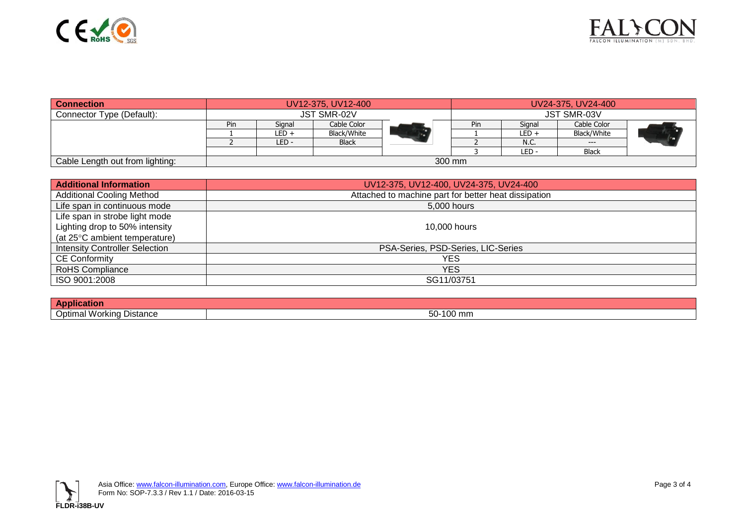



| <b>Connection</b>               | UV12-375, UV12-400 |        |              | UV24-375, UV24-400 |     |                    |              |  |
|---------------------------------|--------------------|--------|--------------|--------------------|-----|--------------------|--------------|--|
| Connector Type (Default):       | <b>JST SMR-02V</b> |        |              |                    |     | <b>JST SMR-03V</b> |              |  |
|                                 | Pin                | Signal | Cable Color  |                    | Pin | Sianal             | Cable Color  |  |
|                                 |                    | LED +  | Black/White  |                    |     | LED +              | Black/White  |  |
|                                 |                    | LED-   | <b>Black</b> |                    |     | N.C.               | $---$        |  |
|                                 |                    |        |              |                    |     | LED -              | <b>Black</b> |  |
| Cable Length out from lighting: |                    |        |              | 300 mm             |     |                    |              |  |

| <b>Additional Information</b>         | UV12-375, UV12-400, UV24-375, UV24-400               |
|---------------------------------------|------------------------------------------------------|
| <b>Additional Cooling Method</b>      | Attached to machine part for better heat dissipation |
| Life span in continuous mode          | 5,000 hours                                          |
| Life span in strobe light mode        |                                                      |
| Lighting drop to 50% intensity        | 10,000 hours                                         |
| (at 25°C ambient temperature)         |                                                      |
| <b>Intensity Controller Selection</b> | PSA-Series, PSD-Series, LIC-Series                   |
| <b>CE Conformity</b>                  | YES                                                  |
| <b>RoHS Compliance</b>                | YES                                                  |
| ISO 9001:2008                         | SG11/03751                                           |

| .<br>/\ r                                    |                               |
|----------------------------------------------|-------------------------------|
| . .<br>-<br>u Distance<br>Jotimal<br>Workina | $ \sim$<br>100 mm<br>--<br>JU |